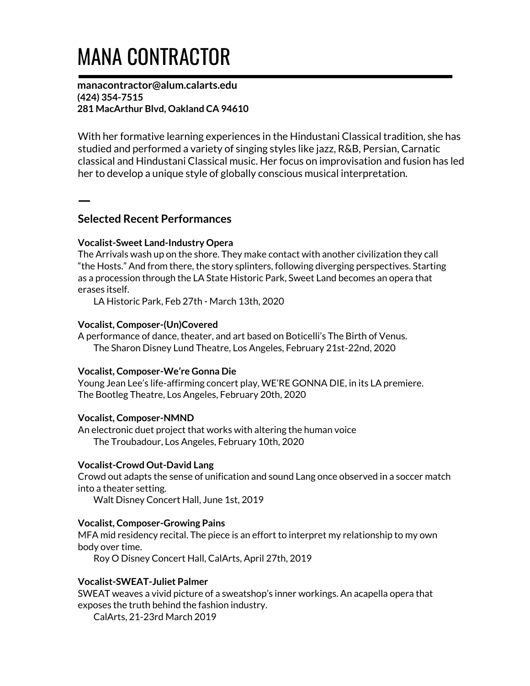# MANA CONTRACTOR

manacontractor@alum.calarts.edu (424) 354-7515 281 MacArthur Blvd, Oakland CA 94610

With her formative learning experiences in the Hindustani Classical tradition, she has studied and performed a variety of singing styles like jazz, R&B, Persian, Carnatic classical and Hindustani Classical music. Her focus on improvisation and fusion has led her to develop a unique style of globally conscious musical interpretation.

## Selected Recent Performances

ㅡ

## Vocalist-Sweet Land-Industry Opera

The Arrivals wash up on the shore. They make contact with another civilization they call "the Hosts." And from there, the story splinters, following diverging perspectives. Starting as a procession through the LA State Historic Park, Sweet Land becomes an opera that erases itself.

LA Historic Park, Feb 27th - March 13th, 2020

#### Vocalist, Composer-(Un)Covered

A performance of dance, theater, and art based on Boticelli's The Birth of Venus. The Sharon Disney Lund Theatre, Los Angeles, February 21st-22nd, 2020

#### Vocalist, Composer-We're Gonna Die

Young Jean Lee's life-affirming concert play, WE'RE GONNA DIE, in its LA premiere. The Bootleg Theatre, Los Angeles, February 20th, 2020

#### Vocalist, Composer-NMND

An electronic duet project that works with altering the human voice The Troubadour, Los Angeles, February 10th, 2020

#### Vocalist-Crowd Out-David Lang

Crowd out adapts the sense of unification and sound Lang once observed in a soccer match into a theater setting.

Walt Disney Concert Hall, June 1st, 2019

#### Vocalist, Composer-Growing Pains

MFA mid residency recital. The piece is an effort to interpret my relationship to my own body over time.

Roy O Disney Concert Hall, CalArts, April 27th, 2019

## Vocalist-SWEAT-Juliet Palmer

SWEAT weaves a vivid picture of a sweatshop's inner workings. An acapella opera that exposes the truth behind the fashion industry.

CalArts, 21-23rd March 2019